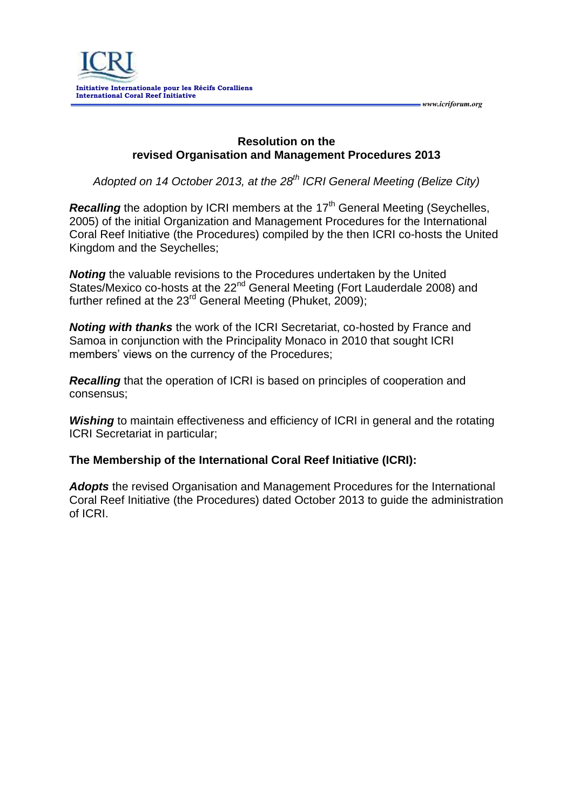*www.icriforum.org* 

## **Resolution on the revised Organisation and Management Procedures 2013**

*Adopted on 14 October 2013, at the 28th ICRI General Meeting (Belize City)*

**Recalling** the adoption by ICRI members at the 17<sup>th</sup> General Meeting (Seychelles, 2005) of the initial Organization and Management Procedures for the International Coral Reef Initiative (the Procedures) compiled by the then ICRI co-hosts the United Kingdom and the Seychelles;

*Noting* the valuable revisions to the Procedures undertaken by the United States/Mexico co-hosts at the 22<sup>nd</sup> General Meeting (Fort Lauderdale 2008) and further refined at the  $23^{rd}$  General Meeting (Phuket, 2009);

*Noting with thanks* the work of the ICRI Secretariat, co-hosted by France and Samoa in conjunction with the Principality Monaco in 2010 that sought ICRI members' views on the currency of the Procedures;

*Recalling* that the operation of ICRI is based on principles of cooperation and consensus;

**Wishing** to maintain effectiveness and efficiency of ICRI in general and the rotating ICRI Secretariat in particular;

## **The Membership of the International Coral Reef Initiative (ICRI):**

*Adopts* the revised Organisation and Management Procedures for the International Coral Reef Initiative (the Procedures) dated October 2013 to guide the administration of ICRI.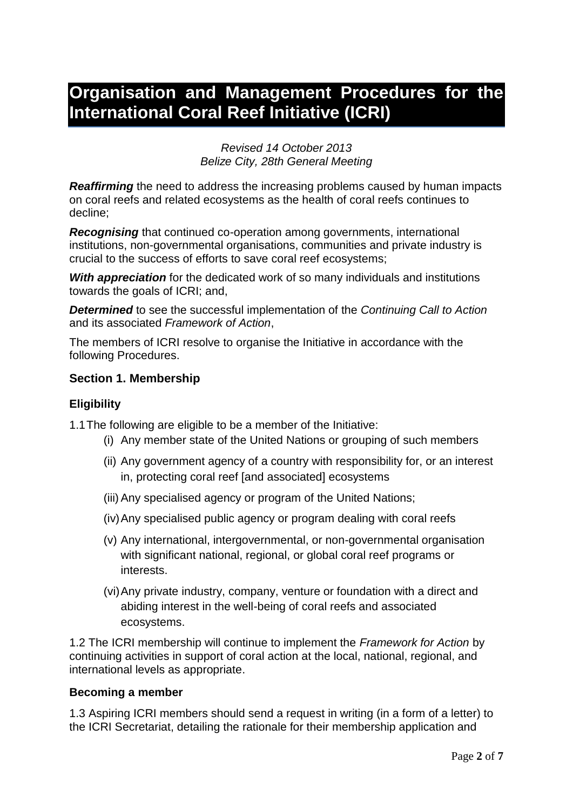# **Organisation and Management Procedures for the International Coral Reef Initiative (ICRI)**

#### *Revised 14 October 2013 Belize City, 28th General Meeting*

*Reaffirming* the need to address the increasing problems caused by human impacts on coral reefs and related ecosystems as the health of coral reefs continues to decline;

*Recognising* that continued co-operation among governments, international institutions, non-governmental organisations, communities and private industry is crucial to the success of efforts to save coral reef ecosystems;

*With appreciation* for the dedicated work of so many individuals and institutions towards the goals of ICRI; and,

*Determined* to see the successful implementation of the *Continuing Call to Action*  and its associated *Framework of Action*,

The members of ICRI resolve to organise the Initiative in accordance with the following Procedures.

## **Section 1. Membership**

## **Eligibility**

1.1The following are eligible to be a member of the Initiative:

- (i) Any member state of the United Nations or grouping of such members
- (ii) Any government agency of a country with responsibility for, or an interest in, protecting coral reef [and associated] ecosystems
- (iii) Any specialised agency or program of the United Nations;
- (iv)Any specialised public agency or program dealing with coral reefs
- (v) Any international, intergovernmental, or non-governmental organisation with significant national, regional, or global coral reef programs or interests.
- (vi)Any private industry, company, venture or foundation with a direct and abiding interest in the well-being of coral reefs and associated ecosystems.

1.2 The ICRI membership will continue to implement the *Framework for Action* by continuing activities in support of coral action at the local, national, regional, and international levels as appropriate.

#### **Becoming a member**

1.3 Aspiring ICRI members should send a request in writing (in a form of a letter) to the ICRI Secretariat, detailing the rationale for their membership application and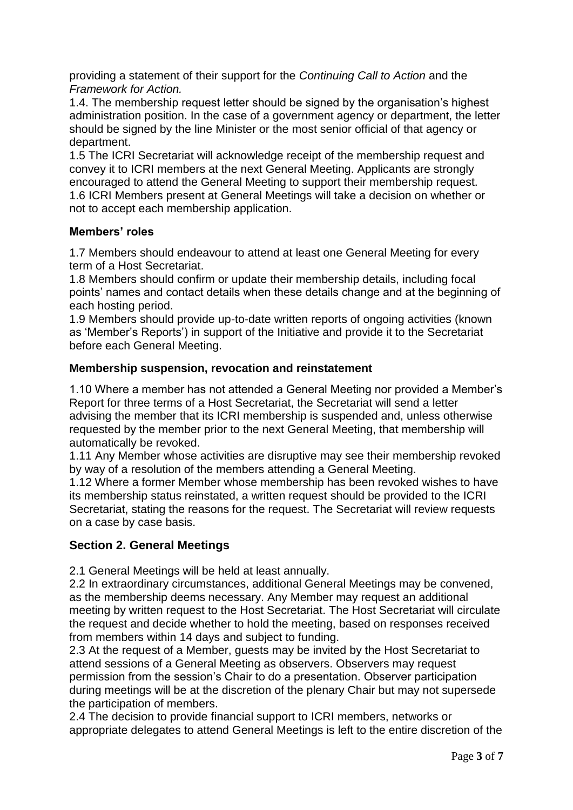providing a statement of their support for the *Continuing Call to Action* and the *Framework for Action.*

1.4. The membership request letter should be signed by the organisation's highest administration position. In the case of a government agency or department, the letter should be signed by the line Minister or the most senior official of that agency or department.

1.5 The ICRI Secretariat will acknowledge receipt of the membership request and convey it to ICRI members at the next General Meeting. Applicants are strongly encouraged to attend the General Meeting to support their membership request. 1.6 ICRI Members present at General Meetings will take a decision on whether or not to accept each membership application.

# **Members' roles**

1.7 Members should endeavour to attend at least one General Meeting for every term of a Host Secretariat.

1.8 Members should confirm or update their membership details, including focal points' names and contact details when these details change and at the beginning of each hosting period.

1.9 Members should provide up-to-date written reports of ongoing activities (known as 'Member's Reports') in support of the Initiative and provide it to the Secretariat before each General Meeting.

# **Membership suspension, revocation and reinstatement**

1.10 Where a member has not attended a General Meeting nor provided a Member's Report for three terms of a Host Secretariat, the Secretariat will send a letter advising the member that its ICRI membership is suspended and, unless otherwise requested by the member prior to the next General Meeting, that membership will automatically be revoked.

1.11 Any Member whose activities are disruptive may see their membership revoked by way of a resolution of the members attending a General Meeting.

1.12 Where a former Member whose membership has been revoked wishes to have its membership status reinstated, a written request should be provided to the ICRI Secretariat, stating the reasons for the request. The Secretariat will review requests on a case by case basis.

# **Section 2. General Meetings**

2.1 General Meetings will be held at least annually.

2.2 In extraordinary circumstances, additional General Meetings may be convened, as the membership deems necessary. Any Member may request an additional meeting by written request to the Host Secretariat. The Host Secretariat will circulate the request and decide whether to hold the meeting, based on responses received from members within 14 days and subject to funding.

2.3 At the request of a Member, guests may be invited by the Host Secretariat to attend sessions of a General Meeting as observers. Observers may request permission from the session's Chair to do a presentation. Observer participation during meetings will be at the discretion of the plenary Chair but may not supersede the participation of members.

2.4 The decision to provide financial support to ICRI members, networks or appropriate delegates to attend General Meetings is left to the entire discretion of the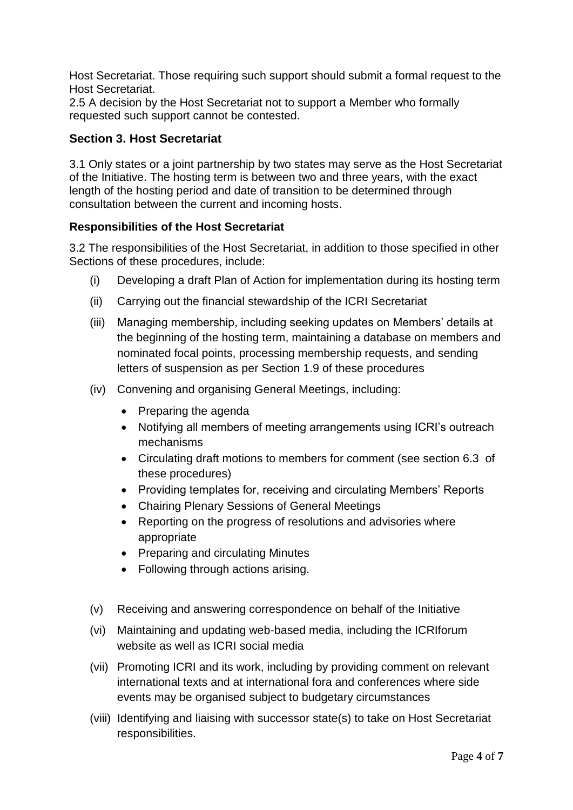Host Secretariat. Those requiring such support should submit a formal request to the Host Secretariat.

2.5 A decision by the Host Secretariat not to support a Member who formally requested such support cannot be contested.

# **Section 3. Host Secretariat**

3.1 Only states or a joint partnership by two states may serve as the Host Secretariat of the Initiative. The hosting term is between two and three years, with the exact length of the hosting period and date of transition to be determined through consultation between the current and incoming hosts.

# **Responsibilities of the Host Secretariat**

3.2 The responsibilities of the Host Secretariat, in addition to those specified in other Sections of these procedures, include:

- (i) Developing a draft Plan of Action for implementation during its hosting term
- (ii) Carrying out the financial stewardship of the ICRI Secretariat
- (iii) Managing membership, including seeking updates on Members' details at the beginning of the hosting term, maintaining a database on members and nominated focal points, processing membership requests, and sending letters of suspension as per Section 1.9 of these procedures
- (iv) Convening and organising General Meetings, including:
	- Preparing the agenda
	- Notifying all members of meeting arrangements using ICRI's outreach mechanisms
	- Circulating draft motions to members for comment (see section 6.3 of these procedures)
	- Providing templates for, receiving and circulating Members' Reports
	- Chairing Plenary Sessions of General Meetings
	- Reporting on the progress of resolutions and advisories where appropriate
	- Preparing and circulating Minutes
	- Following through actions arising.
- (v) Receiving and answering correspondence on behalf of the Initiative
- (vi) Maintaining and updating web-based media, including the ICRIforum website as well as ICRI social media
- (vii) Promoting ICRI and its work, including by providing comment on relevant international texts and at international fora and conferences where side events may be organised subject to budgetary circumstances
- (viii) Identifying and liaising with successor state(s) to take on Host Secretariat responsibilities.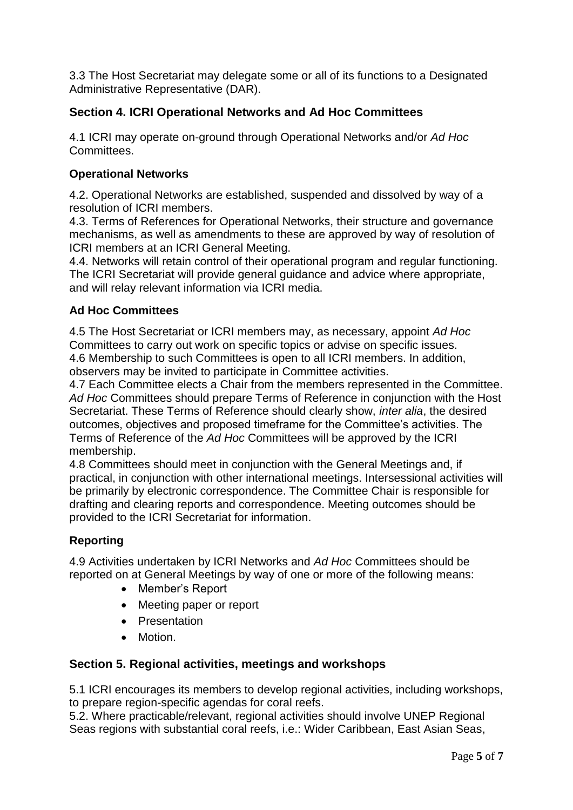3.3 The Host Secretariat may delegate some or all of its functions to a Designated Administrative Representative (DAR).

# **Section 4. ICRI Operational Networks and Ad Hoc Committees**

4.1 ICRI may operate on-ground through Operational Networks and/or *Ad Hoc* Committees.

# **Operational Networks**

4.2. Operational Networks are established, suspended and dissolved by way of a resolution of ICRI members.

4.3. Terms of References for Operational Networks, their structure and governance mechanisms, as well as amendments to these are approved by way of resolution of ICRI members at an ICRI General Meeting.

4.4. Networks will retain control of their operational program and regular functioning. The ICRI Secretariat will provide general guidance and advice where appropriate, and will relay relevant information via ICRI media.

# **Ad Hoc Committees**

4.5 The Host Secretariat or ICRI members may, as necessary, appoint *Ad Hoc* Committees to carry out work on specific topics or advise on specific issues. 4.6 Membership to such Committees is open to all ICRI members. In addition, observers may be invited to participate in Committee activities.

4.7 Each Committee elects a Chair from the members represented in the Committee. *Ad Hoc* Committees should prepare Terms of Reference in conjunction with the Host Secretariat. These Terms of Reference should clearly show, *inter alia*, the desired outcomes, objectives and proposed timeframe for the Committee's activities. The Terms of Reference of the *Ad Hoc* Committees will be approved by the ICRI membership.

4.8 Committees should meet in conjunction with the General Meetings and, if practical, in conjunction with other international meetings. Intersessional activities will be primarily by electronic correspondence. The Committee Chair is responsible for drafting and clearing reports and correspondence. Meeting outcomes should be provided to the ICRI Secretariat for information.

# **Reporting**

4.9 Activities undertaken by ICRI Networks and *Ad Hoc* Committees should be reported on at General Meetings by way of one or more of the following means:

- Member's Report
- Meeting paper or report
- Presentation
- Motion.

# **Section 5. Regional activities, meetings and workshops**

5.1 ICRI encourages its members to develop regional activities, including workshops, to prepare region-specific agendas for coral reefs.

5.2. Where practicable/relevant, regional activities should involve UNEP Regional Seas regions with substantial coral reefs, i.e.: [Wider Caribbean,](http://www.unep.org/regionalseas/programmes/unpro/caribbean/default.asp) [East Asian Seas,](http://www.unep.org/regionalseas/programmes/unpro/eastasian/default.asp)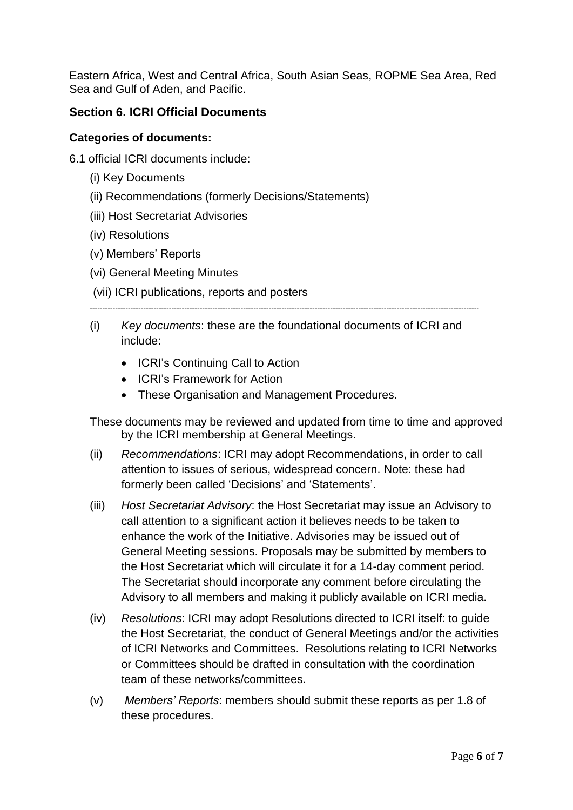Eastern Africa, West and Central Africa, [South Asian Seas,](http://www.unep.org/regionalseas/programmes/nonunep/southasian/default.asp) [ROPME Sea Area,](http://www.unep.org/regionalseas/programmes/nonunep/ropme/default.asp) [Red](http://www.unep.org/regionalseas/programmes/nonunep/redsea/default.asp)  [Sea and Gulf of Aden,](http://www.unep.org/regionalseas/programmes/nonunep/redsea/default.asp) and [Pacific.](http://www.unep.org/regionalseas/programmes/nonunep/pacific/default.asp)

# **Section 6. ICRI Official Documents**

# **Categories of documents:**

- 6.1 official ICRI documents include:
	- (i) Key Documents
	- (ii) Recommendations (formerly Decisions/Statements)
	- (iii) Host Secretariat Advisories
	- (iv) Resolutions
	- (v) Members' Reports
	- (vi) General Meeting Minutes
	- (vii) ICRI publications, reports and posters

--------------------------------------------------------------------------------------------------------------------------------------------------------

- (i) *Key documents*: these are the foundational documents of ICRI and include:
	- ICRI's Continuing Call to Action
	- ICRI's Framework for Action
	- These Organisation and Management Procedures.

These documents may be reviewed and updated from time to time and approved by the ICRI membership at General Meetings.

- (ii) *Recommendations*: ICRI may adopt Recommendations, in order to call attention to issues of serious, widespread concern. Note: these had formerly been called 'Decisions' and 'Statements'.
- (iii) *Host Secretariat Advisory*: the Host Secretariat may issue an Advisory to call attention to a significant action it believes needs to be taken to enhance the work of the Initiative. Advisories may be issued out of General Meeting sessions. Proposals may be submitted by members to the Host Secretariat which will circulate it for a 14-day comment period. The Secretariat should incorporate any comment before circulating the Advisory to all members and making it publicly available on ICRI media.
- (iv) *Resolutions*: ICRI may adopt Resolutions directed to ICRI itself: to guide the Host Secretariat, the conduct of General Meetings and/or the activities of ICRI Networks and Committees. Resolutions relating to ICRI Networks or Committees should be drafted in consultation with the coordination team of these networks/committees.
- (v) *Members' Reports*: members should submit these reports as per 1.8 of these procedures.